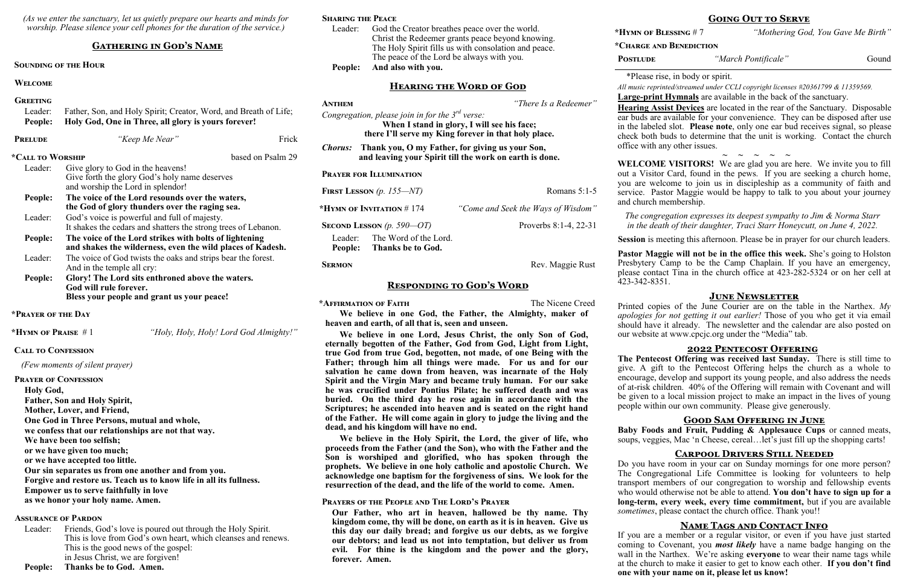*(As we enter the sanctuary, let us quietly prepare our hearts and minds for worship. Please silence your cell phones for the duration of the service.)*

### **Gathering in God's Name**

#### **Sounding of the Hour**

#### **Welcome**

#### **Greeting**

| Leader:<br>People: | Father, Son, and Holy Spirit; Creator, Word, and Breath of Life;<br>Holy God, One in Three, all glory is yours forever!  |                   |  |
|--------------------|--------------------------------------------------------------------------------------------------------------------------|-------------------|--|
| <b>PRELUDE</b>     | "Keep Me Near"                                                                                                           | Frick             |  |
| *Call to Worship   |                                                                                                                          | based on Psalm 29 |  |
| Leader:            | Give glory to God in the heavens!<br>Give forth the glory God's holy name deserves<br>and worship the Lord in splendor!  |                   |  |
| People:            | The voice of the Lord resounds over the waters,<br>the God of glory thunders over the raging sea.                        |                   |  |
| Leader:            | God's voice is powerful and full of majesty.<br>It shakes the cedars and shatters the strong trees of Lebanon.           |                   |  |
| People:            | The voice of the Lord strikes with bolts of lightening<br>and shakes the wilderness, even the wild places of Kadesh.     |                   |  |
| Leader:            | The voice of God twists the oaks and strips bear the forest.<br>And in the temple all cry:                               |                   |  |
| People:            | Glory! The Lord sits enthroned above the waters.<br>God will rule forever.<br>Bless your people and grant us your peace! |                   |  |

Leader: Friends, God's love is poured out through the Holy Spirit. This is love from God's own heart, which cleanses and renews. This is the good news of the gospel: in Jesus Christ, we are forgiven!

**\*Prayer of the Day**

**\*Hymn of Praise** # 1 *"Holy, Holy, Holy! Lord God Almighty!"*

#### **Call to Confession**

 *(Few moments of silent prayer)*

**Prayer of Confession Holy God, Father, Son and Holy Spirit, Mother, Lover, and Friend, One God in Three Persons, mutual and whole, we confess that our relationships are not that way. We have been too selfish; or we have given too much; or we have accepted too little. Our sin separates us from one another and from you. Forgive and restore us. Teach us to know life in all its fullness. Empower us to serve faithfully in love as we honor your holy name. Amen.**

#### **Assurance of Pardon**

#### **Sharing the Peace**

| People: | And also with you.                                   |  |
|---------|------------------------------------------------------|--|
|         | The peace of the Lord be always with you.            |  |
|         | The Holy Spirit fills us with consolation and peace. |  |
|         | Christ the Redeemer grants peace beyond knowing.     |  |
| Leader: | God the Creator breathes peace over the world.       |  |

#### **Hearing the Word of God**

#### **Anthem** *"There Is a Redeemer"*

*Congregation, please join in for the 3rd verse:* **When I stand in glory, I will see his face; there I'll serve my King forever in that holy place.**

*Chorus:* **Thank you, O my Father, for giving us your Son, and leaving your Spirit till the work on earth is done.**

#### **Prayer for Illumination**

| <b>FIRST LESSON</b> $(p. 155 - NT)$ |                                                   | Romans $5:1-5$                     |
|-------------------------------------|---------------------------------------------------|------------------------------------|
| *Hymn of Invitation #174            |                                                   | "Come and Seek the Ways of Wisdom" |
| SECOND LESSON $(p. 590 - OT)$       |                                                   | Proverbs $8:1-4, 22-31$            |
| Leader:<br>People:                  | The Word of the Lord.<br><b>Thanks be to God.</b> |                                    |

**SERMON** Rev. Maggie Rust

#### **Responding to God's Word**

**\*Affirmation of Faith** The Nicene Creed

**We believe in one God, the Father, the Almighty, maker of heaven and earth, of all that is, seen and unseen.**

**We believe in one Lord, Jesus Christ, the only Son of God, eternally begotten of the Father, God from God, Light from Light, true God from true God, begotten, not made, of one Being with the Father; through him all things were made. For us and for our salvation he came down from heaven, was incarnate of the Holy Spirit and the Virgin Mary and became truly human. For our sake he was crucified under Pontius Pilate; he suffered death and was buried. On the third day he rose again in accordance with the Scriptures; he ascended into heaven and is seated on the right hand of the Father. He will come again in glory to judge the living and the dead, and his kingdom will have no end.**

Baby Foods and Fruit, Pudding & Applesauce Cups or canned meats, soups, veggies, Mac 'n Cheese, cereal…let's just fill up the shopping carts!

**We believe in the Holy Spirit, the Lord, the giver of life, who proceeds from the Father (and the Son), who with the Father and the Son is worshiped and glorified, who has spoken through the prophets. We believe in one holy catholic and apostolic Church. We acknowledge one baptism for the forgiveness of sins. We look for the resurrection of the dead, and the life of the world to come. Amen.**

#### **Prayers of the People and The Lord's Prayer**

**Our Father, who art in heaven, hallowed be thy name. Thy kingdom come, thy will be done, on earth as it is in heaven. Give us this day our daily bread; and forgive us our debts, as we forgive our debtors; and lead us not into temptation, but deliver us from evil. For thine is the kingdom and the power and the glory, forever. Amen.**

#### **Going Out to Serve**

**\*Hymn of Blessing** # 7 *"Mothering God, You Gave Me Birth"*

**\*Charge and Benediction**

**POSTLUDE** *"March Pontificale"* Gound

\*Please rise, in body or spirit.

*All music reprinted/streamed under CCLI copyright licenses #20361799 & 11359569.* **Large-print Hymnals** are available in the back of the sanctuary.

**Hearing Assist Devices** are located in the rear of the Sanctuary. Disposable ear buds are available for your convenience. They can be disposed after use in the labeled slot. **Please note**, only one ear bud receives signal, so please check both buds to determine that the unit is working. Contact the church office with any other issues.

**~ ~ ~ ~ ~ WELCOME VISITORS!** We are glad you are here. We invite you to fill out a Visitor Card, found in the pews. If you are seeking a church home, you are welcome to join us in discipleship as a community of faith and service. Pastor Maggie would be happy to talk to you about your journey and church membership.

*The congregation expresses its deepest sympathy to Jim & Norma Starr in the death of their daughter, Traci Starr Honeycutt, on June 4, 2022.*

**Session** is meeting this afternoon. Please be in prayer for our church leaders.

**Pastor Maggie will not be in the office this week.** She's going to Holston Presbytery Camp to be the Camp Chaplain. If you have an emergency, please contact Tina in the church office at 423-282-5324 or on her cell at

# 423-342-8351.

#### **June Newsletter**

Printed copies of the June Courier are on the table in the Narthex. *My apologies for not getting it out earlier!* Those of you who get it via email should have it already. The newsletter and the calendar are also posted on our website at www.cpcjc.org under the "Media" tab.

#### **2022 Pentecost Offering**

**The Pentecost Offering was received last Sunday.** There is still time to give. A gift to the Pentecost Offering helps the church as a whole to encourage, develop and support its young people, and also address the needs of at-risk children. 40% of the Offering will remain with Covenant and will be given to a local mission project to make an impact in the lives of young people within our own community. Please give generously.

#### **Good Sam Offering in June**

#### **Carpool Drivers Still Needed**

Do you have room in your car on Sunday mornings for one more person? The Congregational Life Committee is looking for volunteers to help transport members of our congregation to worship and fellowship events who would otherwise not be able to attend. **You don't have to sign up for a long-term, every week, every time commitment,** but if you are available *sometimes*, please contact the church office. Thank you!!

#### **Name Tags and Contact Info**

If you are a member or a regular visitor, or even if you have just started coming to Covenant, you *most likely* have a name badge hanging on the wall in the Narthex. We're asking **everyone** to wear their name tags while at the church to make it easier to get to know each other. **If you don't find one with your name on it, please let us know!**